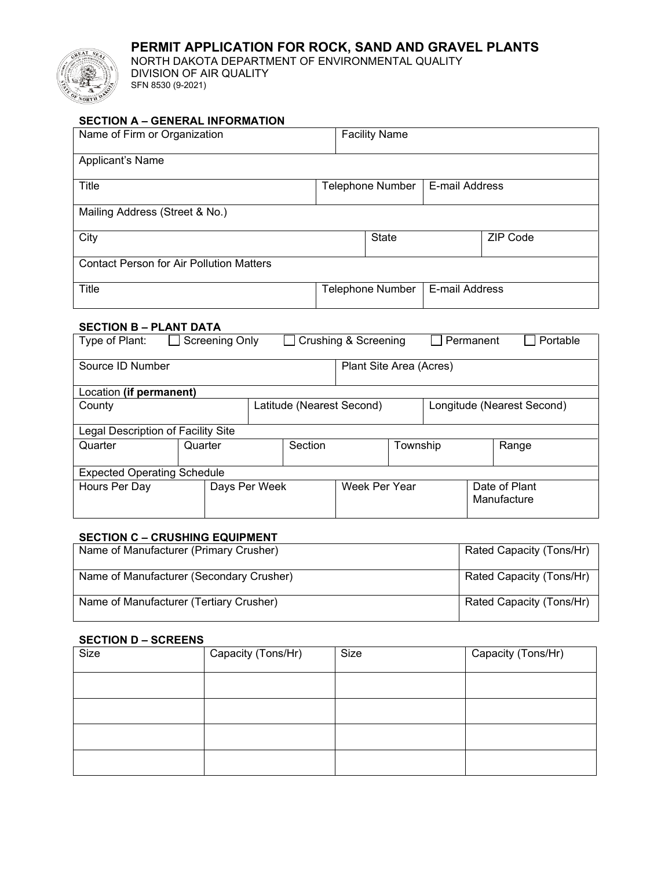# **PERMIT APPLICATION FOR ROCK, SAND AND GRAVEL PLANTS**



NORTH DAKOTA DEPARTMENT OF ENVIRONMENTAL QUALITY DIVISION OF AIR QUALITY SFN 8530 (9-2021)

## **SECTION A – GENERAL INFORMATION**

| Name of Firm or Organization                    | <b>Facility Name</b>    |                         |                |                 |
|-------------------------------------------------|-------------------------|-------------------------|----------------|-----------------|
| Applicant's Name                                |                         |                         |                |                 |
| Title                                           | <b>Telephone Number</b> |                         | E-mail Address |                 |
| Mailing Address (Street & No.)                  |                         |                         |                |                 |
| City                                            |                         | <b>State</b>            |                | <b>ZIP Code</b> |
| <b>Contact Person for Air Pollution Matters</b> |                         |                         |                |                 |
| <b>Title</b>                                    |                         | <b>Telephone Number</b> | E-mail Address |                 |

### **SECTION B – PLANT DATA**

| Type of Plant:                     | Screening Only |                           |                         | Crushing & Screening       |          |  | Permanent | Portable                     |
|------------------------------------|----------------|---------------------------|-------------------------|----------------------------|----------|--|-----------|------------------------------|
| Source ID Number                   |                |                           | Plant Site Area (Acres) |                            |          |  |           |                              |
| Location (if permanent)            |                |                           |                         |                            |          |  |           |                              |
| County                             |                | Latitude (Nearest Second) |                         | Longitude (Nearest Second) |          |  |           |                              |
| Legal Description of Facility Site |                |                           |                         |                            |          |  |           |                              |
| Quarter                            | Quarter        |                           | Section                 |                            | Township |  |           | Range                        |
| <b>Expected Operating Schedule</b> |                |                           |                         |                            |          |  |           |                              |
| Hours Per Day                      | Days Per Week  |                           |                         | Week Per Year              |          |  |           | Date of Plant<br>Manufacture |

#### **SECTION C – CRUSHING EQUIPMENT**

| Name of Manufacturer (Primary Crusher)   | Rated Capacity (Tons/Hr) |
|------------------------------------------|--------------------------|
| Name of Manufacturer (Secondary Crusher) | Rated Capacity (Tons/Hr) |
| Name of Manufacturer (Tertiary Crusher)  | Rated Capacity (Tons/Hr) |

#### **SECTION D – SCREENS**

| Size | Capacity (Tons/Hr) | Size | Capacity (Tons/Hr) |
|------|--------------------|------|--------------------|
|      |                    |      |                    |
|      |                    |      |                    |
|      |                    |      |                    |
|      |                    |      |                    |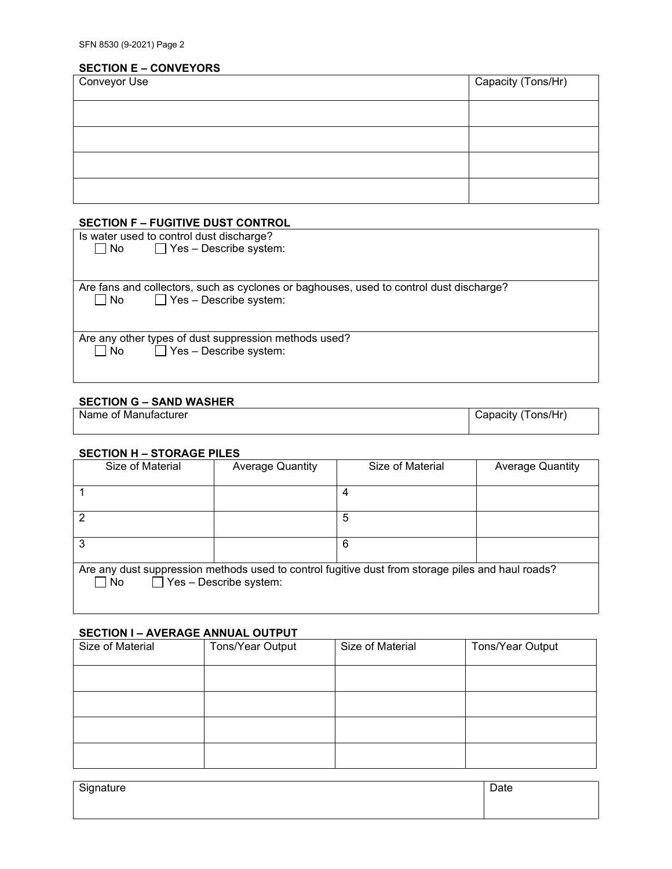## **SECTION E – CONVEYORS**

| <b>Conveyor Use</b> | Capacity (Tons/Hr) |
|---------------------|--------------------|
|                     |                    |
|                     |                    |
|                     |                    |
|                     |                    |

## **SECTION F – FUGITIVE DUST CONTROL**

|           | Is water used to control dust discharge?                                                |
|-----------|-----------------------------------------------------------------------------------------|
| $\Box$ No | $\Box$ Yes – Describe system:                                                           |
|           |                                                                                         |
|           |                                                                                         |
|           | Are fans and collectors, such as cyclones or baghouses, used to control dust discharge? |
| No        | $\Box$ Yes – Describe system:                                                           |
|           |                                                                                         |
|           |                                                                                         |
|           | Are any other types of dust suppression methods used?                                   |
| No        | $\Box$ Yes – Describe system:                                                           |
|           |                                                                                         |

## **SECTION G – SAND WASHER**

| Name of Manufacturer | Tons/Hr<br>Japacity |
|----------------------|---------------------|
|                      |                     |

#### **SECTION H – STORAGE PILES**

| Size of Material | <b>Average Quantity</b>       | Size of Material                                                                                  | <b>Average Quantity</b> |
|------------------|-------------------------------|---------------------------------------------------------------------------------------------------|-------------------------|
|                  |                               | 4                                                                                                 |                         |
| າ                |                               | 5                                                                                                 |                         |
| 3                |                               | 6                                                                                                 |                         |
| ∐ No             | $\Box$ Yes - Describe system: | Are any dust suppression methods used to control fugitive dust from storage piles and haul roads? |                         |

#### **SECTION I – AVERAGE ANNUAL OUTPUT**

| Size of Material | Tons/Year Output | Size of Material | Tons/Year Output |
|------------------|------------------|------------------|------------------|
|                  |                  |                  |                  |
|                  |                  |                  |                  |
|                  |                  |                  |                  |
|                  |                  |                  |                  |

| <sup>Cinnature</sup><br>- ت− | $\sum_{i=1}^{n}$<br>Dale |
|------------------------------|--------------------------|
|                              |                          |